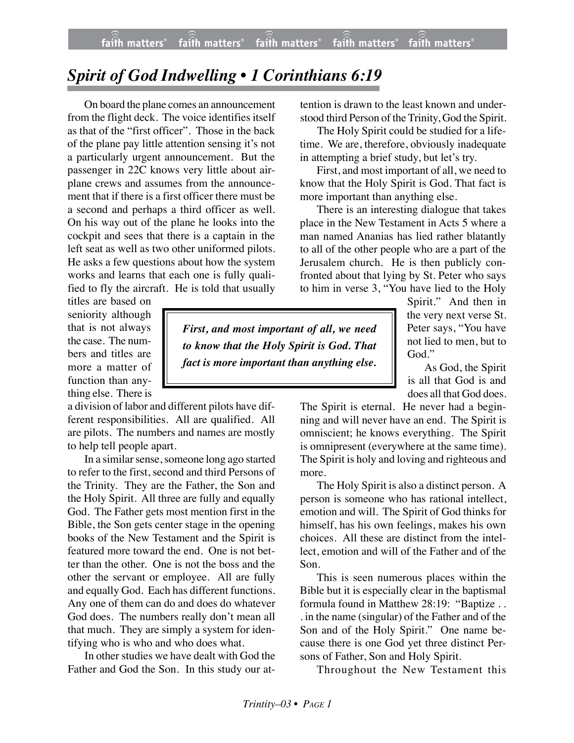## *Spirit of God Indwelling • 1 Corinthians 6:19*

On board the plane comes an announcement from the flight deck. The voice identifies itself as that of the "first officer". Those in the back of the plane pay little attention sensing it's not a particularly urgent announcement. But the passenger in 22C knows very little about airplane crews and assumes from the announcement that if there is a first officer there must be a second and perhaps a third officer as well. On his way out of the plane he looks into the cockpit and sees that there is a captain in the left seat as well as two other uniformed pilots. He asks a few questions about how the system works and learns that each one is fully qualified to fly the aircraft. He is told that usually

titles are based on seniority although that is not always the case. The numbers and titles are more a matter of function than anything else. There is

a division of labor and different pilots have different responsibilities. All are qualified. All are pilots. The numbers and names are mostly to help tell people apart.

In a similar sense, someone long ago started to refer to the first, second and third Persons of the Trinity. They are the Father, the Son and the Holy Spirit. All three are fully and equally God. The Father gets most mention first in the Bible, the Son gets center stage in the opening books of the New Testament and the Spirit is featured more toward the end. One is not better than the other. One is not the boss and the other the servant or employee. All are fully and equally God. Each has different functions. Any one of them can do and does do whatever God does. The numbers really don't mean all that much. They are simply a system for identifying who is who and who does what.

In other studies we have dealt with God the Father and God the Son. In this study our attention is drawn to the least known and understood third Person of the Trinity, God the Spirit.

The Holy Spirit could be studied for a lifetime. We are, therefore, obviously inadequate in attempting a brief study, but let's try.

First, and most important of all, we need to know that the Holy Spirit is God. That fact is more important than anything else.

There is an interesting dialogue that takes place in the New Testament in Acts 5 where a man named Ananias has lied rather blatantly to all of the other people who are a part of the Jerusalem church. He is then publicly confronted about that lying by St. Peter who says to him in verse 3, "You have lied to the Holy

> Spirit." And then in the very next verse St. Peter says, "You have not lied to men, but to God."

> As God, the Spirit is all that God is and does all that God does.

The Spirit is eternal. He never had a beginning and will never have an end. The Spirit is omniscient; he knows everything. The Spirit is omnipresent (everywhere at the same time). The Spirit is holy and loving and righteous and more.

The Holy Spirit is also a distinct person. A person is someone who has rational intellect, emotion and will. The Spirit of God thinks for himself, has his own feelings, makes his own choices. All these are distinct from the intellect, emotion and will of the Father and of the Son.

This is seen numerous places within the Bible but it is especially clear in the baptismal formula found in Matthew 28:19: "Baptize . . . in the name (singular) of the Father and of the Son and of the Holy Spirit." One name because there is one God yet three distinct Persons of Father, Son and Holy Spirit.

Throughout the New Testament this

*First, and most important of all, we need to know that the Holy Spirit is God. That fact is more important than anything else.*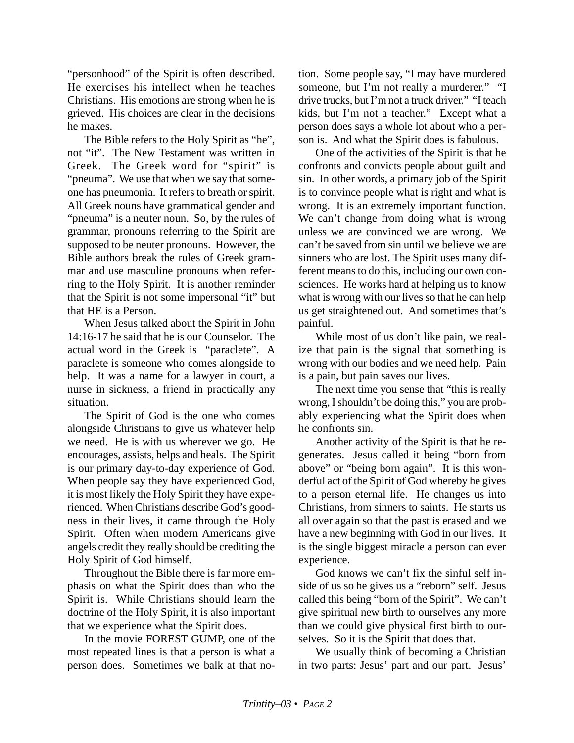"personhood" of the Spirit is often described. He exercises his intellect when he teaches Christians. His emotions are strong when he is grieved. His choices are clear in the decisions he makes.

The Bible refers to the Holy Spirit as "he", not "it". The New Testament was written in Greek. The Greek word for "spirit" is "pneuma". We use that when we say that someone has pneumonia. It refers to breath or spirit. All Greek nouns have grammatical gender and "pneuma" is a neuter noun. So, by the rules of grammar, pronouns referring to the Spirit are supposed to be neuter pronouns. However, the Bible authors break the rules of Greek grammar and use masculine pronouns when referring to the Holy Spirit. It is another reminder that the Spirit is not some impersonal "it" but that HE is a Person.

When Jesus talked about the Spirit in John 14:16-17 he said that he is our Counselor. The actual word in the Greek is "paraclete". A paraclete is someone who comes alongside to help. It was a name for a lawyer in court, a nurse in sickness, a friend in practically any situation.

The Spirit of God is the one who comes alongside Christians to give us whatever help we need. He is with us wherever we go. He encourages, assists, helps and heals. The Spirit is our primary day-to-day experience of God. When people say they have experienced God, it is most likely the Holy Spirit they have experienced. When Christians describe God's goodness in their lives, it came through the Holy Spirit. Often when modern Americans give angels credit they really should be crediting the Holy Spirit of God himself.

Throughout the Bible there is far more emphasis on what the Spirit does than who the Spirit is. While Christians should learn the doctrine of the Holy Spirit, it is also important that we experience what the Spirit does.

In the movie FOREST GUMP, one of the most repeated lines is that a person is what a person does. Sometimes we balk at that no-

tion. Some people say, "I may have murdered someone, but I'm not really a murderer." "I drive trucks, but I'm not a truck driver." "I teach kids, but I'm not a teacher." Except what a person does says a whole lot about who a person is. And what the Spirit does is fabulous.

One of the activities of the Spirit is that he confronts and convicts people about guilt and sin. In other words, a primary job of the Spirit is to convince people what is right and what is wrong. It is an extremely important function. We can't change from doing what is wrong unless we are convinced we are wrong. We can't be saved from sin until we believe we are sinners who are lost. The Spirit uses many different means to do this, including our own consciences. He works hard at helping us to know what is wrong with our lives so that he can help us get straightened out. And sometimes that's painful.

While most of us don't like pain, we realize that pain is the signal that something is wrong with our bodies and we need help. Pain is a pain, but pain saves our lives.

The next time you sense that "this is really wrong, I shouldn't be doing this," you are probably experiencing what the Spirit does when he confronts sin.

Another activity of the Spirit is that he regenerates. Jesus called it being "born from above" or "being born again". It is this wonderful act of the Spirit of God whereby he gives to a person eternal life. He changes us into Christians, from sinners to saints. He starts us all over again so that the past is erased and we have a new beginning with God in our lives. It is the single biggest miracle a person can ever experience.

God knows we can't fix the sinful self inside of us so he gives us a "reborn" self. Jesus called this being "born of the Spirit". We can't give spiritual new birth to ourselves any more than we could give physical first birth to ourselves. So it is the Spirit that does that.

We usually think of becoming a Christian in two parts: Jesus' part and our part. Jesus'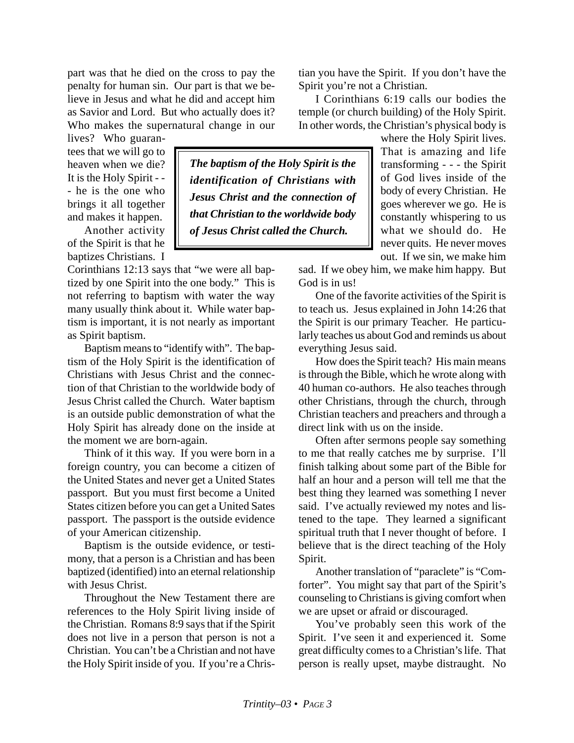part was that he died on the cross to pay the penalty for human sin. Our part is that we believe in Jesus and what he did and accept him as Savior and Lord. But who actually does it? Who makes the supernatural change in our

lives? Who guarantees that we will go to heaven when we die? It is the Holy Spirit - - - he is the one who brings it all together and makes it happen.

Another activity of the Spirit is that he baptizes Christians. I

Corinthians 12:13 says that "we were all baptized by one Spirit into the one body." This is not referring to baptism with water the way many usually think about it. While water baptism is important, it is not nearly as important as Spirit baptism.

Baptism means to "identify with". The baptism of the Holy Spirit is the identification of Christians with Jesus Christ and the connection of that Christian to the worldwide body of Jesus Christ called the Church. Water baptism is an outside public demonstration of what the Holy Spirit has already done on the inside at the moment we are born-again.

Think of it this way. If you were born in a foreign country, you can become a citizen of the United States and never get a United States passport. But you must first become a United States citizen before you can get a United Sates passport. The passport is the outside evidence of your American citizenship.

Baptism is the outside evidence, or testimony, that a person is a Christian and has been baptized (identified) into an eternal relationship with Jesus Christ.

Throughout the New Testament there are references to the Holy Spirit living inside of the Christian. Romans 8:9 says that if the Spirit does not live in a person that person is not a Christian. You can't be a Christian and not have the Holy Spirit inside of you. If you're a Chris-

*The baptism of the Holy Spirit is the identification of Christians with Jesus Christ and the connection of that Christian to the worldwide body of Jesus Christ called the Church.*

tian you have the Spirit. If you don't have the Spirit you're not a Christian.

I Corinthians 6:19 calls our bodies the temple (or church building) of the Holy Spirit. In other words, the Christian's physical body is

where the Holy Spirit lives. That is amazing and life transforming - - - the Spirit of God lives inside of the body of every Christian. He goes wherever we go. He is constantly whispering to us what we should do. He never quits. He never moves out. If we sin, we make him

sad. If we obey him, we make him happy. But God is in us!

One of the favorite activities of the Spirit is to teach us. Jesus explained in John 14:26 that the Spirit is our primary Teacher. He particularly teaches us about God and reminds us about everything Jesus said.

How does the Spirit teach? His main means is through the Bible, which he wrote along with 40 human co-authors. He also teaches through other Christians, through the church, through Christian teachers and preachers and through a direct link with us on the inside.

Often after sermons people say something to me that really catches me by surprise. I'll finish talking about some part of the Bible for half an hour and a person will tell me that the best thing they learned was something I never said. I've actually reviewed my notes and listened to the tape. They learned a significant spiritual truth that I never thought of before. I believe that is the direct teaching of the Holy Spirit.

Another translation of "paraclete" is "Comforter". You might say that part of the Spirit's counseling to Christians is giving comfort when we are upset or afraid or discouraged.

You've probably seen this work of the Spirit. I've seen it and experienced it. Some great difficulty comes to a Christian's life. That person is really upset, maybe distraught. No